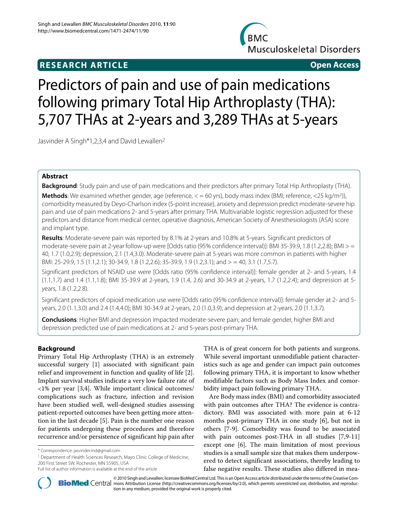# **RESEARCH ARTICLE Open Access**



# Predictors of pain and use of pain medications following primary Total Hip Arthroplasty (THA): 5,707 THAs at 2-years and 3,289 THAs at 5-years

Jasvinder A Singh\*1,2,3,4 and David Lewallen2

# **Abstract**

**Background**: Study pain and use of pain medications and their predictors after primary Total Hip Arthroplasty (THA).

**Methods**: We examined whether gender, age (reference,  $\lt$  = 60 yrs), body mass index (BMI; reference,  $\lt$ 25 kg/m<sup>2</sup>)), comorbidity measured by Deyo-Charlson index (5-point increase), anxiety and depression predict moderate-severe hip pain and use of pain medications 2- and 5-years after primary THA. Multivariable logistic regression adjusted for these predictors and distance from medical center, operative diagnosis, American Society of Anesthesiologists (ASA) score and implant type.

**Results**: Moderate-severe pain was reported by 8.1% at 2-years and 10.8% at 5-years. Significant predictors of moderate-severe pain at 2-year follow-up were [Odds ratio (95% confidence interval)]: BMI 35-39.9, 1.8 (1.2,2.8); BMI > = 40, 1.7 (1.0,2.9); depression, 2.1 (1.4,3.0). Moderate-severe pain at 5-years was more common in patients with higher BMI: 25-29.9, 1.5 (1.1,2.1); 30-34.9, 1.8 (1.2,2.6); 35-39.9, 1.9 (1.2,3.1); and > = 40, 3.1 (1.7,5.7).

Significant predictors of NSAID use were [Odds ratio (95% confidence interval)]: female gender at 2- and 5-years, 1.4 (1.1,1.7) and 1.4 (1.1,1.8); BMI 35-39.9 at 2-years, 1.9 (1.4, 2.6) and 30-34.9 at 2-years, 1.7 (1.2,2.4); and depression at 5 years, 1.8 (1.2,2.8).

Significant predictors of opioid medication use were [Odds ratio (95% confidence interval)]: female gender at 2- and 5 years, 2.0 (1.1,3.0) and 2.4 (1.4,4.0); BMI 30-34.9 at 2-years, 2.0 (1.0,3.9); and depression at 2-years, 2.0 (1.1,3.7).

**Conclusions**: Higher BMI and depression impacted moderate-severe pain; and female gender, higher BMI and depression predicted use of pain medications at 2- and 5-years post-primary THA.

# **Background**

Primary Total Hip Arthroplasty (THA) is an extremely successful surgery [\[1](#page-6-0)] associated with significant pain relief and improvement in function and quality of life [\[2](#page-6-1)]. Implant survival studies indicate a very low failure rate of <1% per year [[3](#page-6-2)[,4](#page-6-3)]. While important clinical outcomes/ complications such as fracture, infection and revision have been studied well, well-designed studies assessing patient-reported outcomes have been getting more attention in the last decade [[5\]](#page-6-4). Pain is the number one reason for patients undergoing these procedures and therefore recurrence and/or persistence of significant hip pain after

<sup>1</sup> Department of Health Sciences Research, Mayo Clinic College of Medicine, 200 First Street SW, Rochester, MN 55905, USA

THA is of great concern for both patients and surgeons. While several important unmodifiable patient characteristics such as age and gender can impact pain outcomes following primary THA, it is important to know whether modifiable factors such as Body Mass Index and comorbidity impact pain following primary THA.

Are Body mass index (BMI) and comorbidity associated with pain outcomes after THA? The evidence is contradictory. BMI was associated with more pain at 6-12 months post-primary THA in one study [[6\]](#page-6-5), but not in others [[7](#page-6-6)[-9\]](#page-6-7). Comorbidity was found to be associated with pain outcomes post-THA in all studies [[7,](#page-6-6)[9-](#page-6-7)[11](#page-7-0)] except one [[6\]](#page-6-5). The main limitation of most previous studies is a small sample size that makes them underpowered to detect significant associations, thereby leading to false negative results. These studies also differed in mea-



© 2010 Singh and Lewallen; licensee [BioMed](http://www.biomedcentral.com/) Central Ltd. This is an Open Access article distributed under the terms of the Creative Com-<br>-Bio Med Central mons Attribution License (http://creativecommons.org/licenses/by/2.0 tion in any medium, provided the original work is properly cited.

<sup>\*</sup> Correspondence: jasvinder.md@gmail.com

Full list of author information is available at the end of the article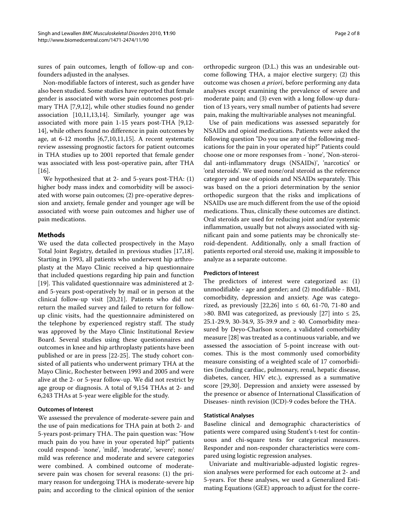sures of pain outcomes, length of follow-up and confounders adjusted in the analyses.

Non-modifiable factors of interest, such as gender have also been studied. Some studies have reported that female gender is associated with worse pain outcomes post-primary THA [\[7](#page-6-6)[,9](#page-6-7),[12](#page-7-1)], while other studies found no gender association [\[10,](#page-7-2)[11](#page-7-0)[,13](#page-7-3)[,14](#page-7-4)]. Similarly, younger age was associated with more pain 1-15 years post-THA [[9](#page-6-7)[,12-](#page-7-1) [14](#page-7-4)], while others found no difference in pain outcomes by age, at 6-12 months [\[6](#page-6-5)[,7](#page-6-6)[,10](#page-7-2),[11](#page-7-0),[15](#page-7-5)]. A recent systematic review assessing prognostic factors for patient outcomes in THA studies up to 2001 reported that female gender was associated with less post-operative pain, after THA [[16\]](#page-7-6).

We hypothesized that at 2- and 5-years post-THA: (1) higher body mass index and comorbidity will be associated with worse pain outcomes; (2) pre-operative depression and anxiety, female gender and younger age will be associated with worse pain outcomes and higher use of pain medications.

## **Methods**

We used the data collected prospectively in the Mayo Total Joint Registry, detailed in previous studies [\[17](#page-7-7)[,18](#page-7-8)]. Starting in 1993, all patients who underwent hip arthroplasty at the Mayo Clinic received a hip questionnaire that included questions regarding hip pain and function [[19\]](#page-7-9). This validated questionnaire was administered at 2 and 5-years post-operatively by mail or in person at the clinical follow-up visit [[20,](#page-7-10)[21\]](#page-7-11). Patients who did not return the mailed survey and failed to return for followup clinic visits, had the questionnaire administered on the telephone by experienced registry staff. The study was approved by the Mayo Clinic Institutional Review Board. Several studies using these questionnaires and outcomes in knee and hip arthroplasty patients have been published or are in press [[22-](#page-7-12)[25\]](#page-7-13). The study cohort consisted of all patients who underwent primary THA at the Mayo Clinic, Rochester between 1993 and 2005 and were alive at the 2- or 5-year follow-up. We did not restrict by age group or diagnosis. A total of 9,154 THAs at 2- and 6,243 THAs at 5-year were eligible for the study.

# **Outcomes of Interest**

We assessed the prevalence of moderate-severe pain and the use of pain medications for THA pain at both 2- and 5-years post-primary THA. The pain question was: "How much pain do you have in your operated hip?" patients could respond- 'none', 'mild', 'moderate', 'severe'; none/ mild was reference and moderate and severe categories were combined. A combined outcome of moderatesevere pain was chosen for several reasons: (1) the primary reason for undergoing THA is moderate-severe hip pain; and according to the clinical opinion of the senior

orthropedic surgeon (D.L.) this was an undesirable outcome following THA, a major elective surgery; (2) this outcome was chosen *a priori*, before performing any data analyses except examining the prevalence of severe and moderate pain; and (3) even with a long follow-up duration of 13 years, very small number of patients had severe pain, making the multivariable analyses not meaningful.

Use of pain medications was assessed separately for NSAIDs and opioid medications. Patients were asked the following question "Do you use any of the following medications for the pain in your operated hip?" Patients could choose one or more responses from - 'none', 'Non-steroidal anti-inflammatory drugs (NSAIDs)', 'narcotics' or 'oral steroids'. We used none/oral steroid as the reference category and use of opioids and NSAIDs separately. This was based on the a priori determination by the senior orthopedic surgeon that the risks and implications of NSAIDs use are much different from the use of the opioid medications. Thus, clinically these outcomes are distinct. Oral steroids are used for reducing joint and/or systemic inflammation, usually but not always associated with significant pain and some patients may be chronically steroid-dependent. Additionally, only a small fraction of patients reported oral steroid use, making it impossible to analyze as a separate outcome.

## **Predictors of Interest**

The predictors of interest were categorized as: (1) unmodifiable - age and gender; and (2) modifiable - BMI, comorbidity, depression and anxiety. Age was catego-rized, as previously [[22,](#page-7-12)[26\]](#page-7-14) into ≤ 60, 61-70, 71-80 and  $>80$ . BMI was categorized, as previously [[27\]](#page-7-15) into  $\leq 25$ , 25.1-29.9, 30-34.9, 35-39.9 and  $\geq$  40. Comorbidity measured by Deyo-Charlson score, a validated comorbidity measure [[28](#page-7-16)] was treated as a continuous variable, and we assessed the association of 5-point increase with outcomes. This is the most commonly used comorbidity measure consisting of a weighted scale of 17 comorbidities (including cardiac, pulmonary, renal, hepatic disease, diabetes, cancer, HIV etc.), expressed as a summative score [\[29](#page-7-17)[,30](#page-7-18)]. Depression and anxiety were assessed by the presence or absence of International Classification of Diseases- ninth revision (ICD)-9 codes before the THA.

## **Statistical Analyses**

Baseline clinical and demographic characteristics of patients were compared using Student's t-test for continuous and chi-square tests for categorical measures. Responder and non-responder characteristics were compared using logistic regression analyses.

Univariate and multivariable-adjusted logistic regression analyses were performed for each outcome at 2- and 5-years. For these analyses, we used a Generalized Estimating Equations (GEE) approach to adjust for the corre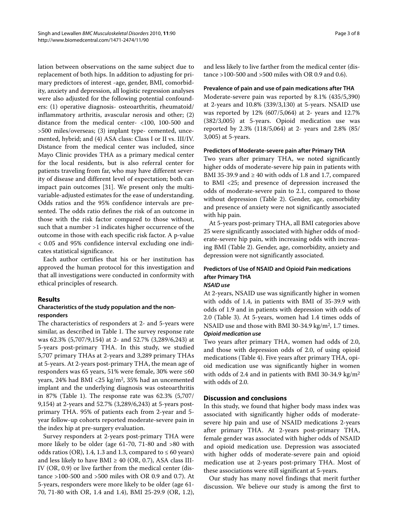lation between observations on the same subject due to replacement of both hips. In addition to adjusting for primary predictors of interest -age, gender, BMI, comorbidity, anxiety and depression, all logistic regression analyses were also adjusted for the following potential confounders: (1) operative diagnosis- osteoarthritis, rheumatoid/ inflammatory arthritis, avascular nerosis and other; (2) distance from the medical center- <100, 100-500 and >500 miles/overseas; (3) implant type- cemented, uncemented, hybrid; and (4) ASA class: Class I or II vs. III/IV. Distance from the medical center was included, since Mayo Clinic provides THA as a primary medical center for the local residents, but is also referral center for patients traveling from far, who may have different severity of disease and different level of expectation; both can impact pain outcomes [[31\]](#page-7-19). We present only the multivariable-adjusted estimates for the ease of understanding. Odds ratios and the 95% confidence intervals are presented. The odds ratio defines the risk of an outcome in those with the risk factor compared to those without, such that a number >1 indicates higher occurrence of the outcome in those with each specific risk factor. A p-value < 0.05 and 95% confidence interval excluding one indicates statistical significance.

Each author certifies that his or her institution has approved the human protocol for this investigation and that all investigations were conducted in conformity with ethical principles of research.

# **Results**

# **Characteristics of the study population and the nonresponders**

The characteristics of responders at 2- and 5-years were similar, as described in Table 1. The survey response rate was 62.3% (5,707/9,154) at 2- and 52.7% (3,289/6,243) at 5-years post-primary THA. In this study, we studied 5,707 primary THAs at 2-years and 3,289 primary THAs at 5-years. At 2-years post-primary THA, the mean age of responders was 65 years, 51% were female, 30% were ≤60 years, 24% had BMI <25 kg/m2, 35% had an uncemented implant and the underlying diagnosis was osteoarthritis in 87% (Table 1). The response rate was 62.3% (5,707/ 9,154) at 2-years and 52.7% (3,289/6,243) at 5-years postprimary THA. 95% of patients each from 2-year and 5 year follow-up cohorts reported moderate-severe pain in the index hip at pre-surgery evaluation.

Survey responders at 2-years post-primary THA were more likely to be older (age 61-70, 71-80 and >80 with odds ratios (OR), 1.4, 1.3 and 1.3, compared to  $\leq 60$  years) and less likely to have BMI  $\geq$  40 (OR, 0.7), ASA class III-IV (OR, 0.9) or live farther from the medical center (distance >100-500 and >500 miles with OR 0.9 and 0.7). At 5-years, responders were more likely to be older (age 61- 70, 71-80 with OR, 1.4 and 1.4), BMI 25-29.9 (OR, 1.2), and less likely to live farther from the medical center (distance >100-500 and >500 miles with OR 0.9 and 0.6).

## **Prevalence of pain and use of pain medications after THA**

Moderate-severe pain was reported by 8.1% (435/5,390) at 2-years and 10.8% (339/3,130) at 5-years. NSAID use was reported by 12% (607/5,064) at 2- years and 12.7% (382/3,005) at 5-years. Opioid medication use was reported by 2.3% (118/5,064) at 2- years and 2.8% (85/ 3,005) at 5-years.

## **Predictors of Moderate-severe pain after Primary THA**

Two years after primary THA, we noted significantly higher odds of moderate-severe hip pain in patients with BMI 35-39.9 and  $\geq 40$  with odds of 1.8 and 1.7, compared to BMI <25; and presence of depression increased the odds of moderate-severe pain to 2.1, compared to those without depression (Table 2). Gender, age, comorbidity and presence of anxiety were not significantly associated with hip pain.

At 5-years post-primary THA, all BMI categories above 25 were significantly associated with higher odds of moderate-severe hip pain, with increasing odds with increasing BMI (Table 2). Gender, age, comorbidity, anxiety and depression were not significantly associated.

## **Predictors of Use of NSAID and Opioid Pain medications after Primary THA NSAID use**

At 2-years, NSAID use was significantly higher in women with odds of 1.4, in patients with BMI of 35-39.9 with odds of 1.9 and in patients with depression with odds of 2.0 (Table 3). At 5-years, women had 1.4 times odds of NSAID use and those with BMI 30-34.9 kg/m2, 1.7 times. **Opioid medication use**

Two years after primary THA, women had odds of 2.0, and those with depression odds of 2.0, of using opioid medications (Table 4). Five years after primary THA, opioid medication use was significantly higher in women with odds of 2.4 and in patients with BMI 30-34.9 kg/m2 with odds of 2.0.

# **Discussion and conclusions**

In this study, we found that higher body mass index was associated with significantly higher odds of moderatesevere hip pain and use of NSAID medications 2-years after primary THA. At 2-years post-primary THA, female gender was associated with higher odds of NSAID and opioid medication use. Depression was associated with higher odds of moderate-severe pain and opioid medication use at 2-years post-primary THA. Most of these associations were still significant at 5-years.

Our study has many novel findings that merit further discussion. We believe our study is among the first to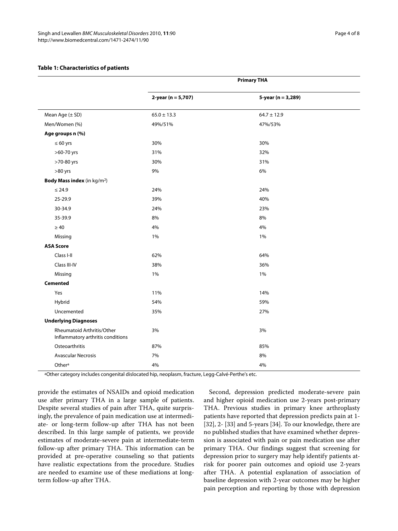# **Table 1: Characteristics of patients**

|                                                                 | <b>Primary THA</b>    |                    |  |
|-----------------------------------------------------------------|-----------------------|--------------------|--|
|                                                                 | $2$ -year (n = 5,707) | 5-year (n = 3,289) |  |
| Mean Age (± SD)                                                 | $65.0 \pm 13.3$       | $64.7 \pm 12.9$    |  |
| Men/Women (%)                                                   | 49%/51%               | 47%/53%            |  |
| Age groups n (%)                                                |                       |                    |  |
| $\leq 60$ yrs                                                   | 30%                   | 30%                |  |
| >60-70 yrs                                                      | 31%                   | 32%                |  |
| >70-80 yrs                                                      | 30%                   | 31%                |  |
| >80 yrs                                                         | 9%                    | 6%                 |  |
| Body Mass index (in kg/m <sup>2</sup> )                         |                       |                    |  |
| $\leq 24.9$                                                     | 24%                   | 24%                |  |
| 25-29.9                                                         | 39%                   | 40%                |  |
| 30-34.9                                                         | 24%                   | 23%                |  |
| 35-39.9                                                         | 8%                    | 8%                 |  |
| $\geq 40$                                                       | 4%                    | 4%                 |  |
| Missing                                                         | 1%                    | 1%                 |  |
| <b>ASA Score</b>                                                |                       |                    |  |
| Class I-II                                                      | 62%                   | 64%                |  |
| Class III-IV                                                    | 38%                   | 36%                |  |
| Missing                                                         | 1%                    | 1%                 |  |
| <b>Cemented</b>                                                 |                       |                    |  |
| Yes                                                             | 11%                   | 14%                |  |
| Hybrid                                                          | 54%                   | 59%                |  |
| Uncemented                                                      | 35%                   | 27%                |  |
| <b>Underlying Diagnoses</b>                                     |                       |                    |  |
| Rheumatoid Arthritis/Other<br>Inflammatory arthritis conditions | 3%                    | 3%                 |  |
| Osteoarthritis                                                  | 87%                   | 85%                |  |
| <b>Avascular Necrosis</b>                                       | 7%                    | 8%                 |  |
| Othera                                                          | 4%                    | 4%                 |  |

aOther category includes congenital dislocated hip, neoplasm, fracture, Legg-Calvé-Perthe's etc.

provide the estimates of NSAIDs and opioid medication use after primary THA in a large sample of patients. Despite several studies of pain after THA, quite surprisingly, the prevalence of pain medication use at intermediate- or long-term follow-up after THA has not been described. In this large sample of patients, we provide estimates of moderate-severe pain at intermediate-term follow-up after primary THA. This information can be provided at pre-operative counseling so that patients have realistic expectations from the procedure. Studies are needed to examine use of these mediations at longterm follow-up after THA.

Second, depression predicted moderate-severe pain and higher opioid medication use 2-years post-primary THA. Previous studies in primary knee arthroplasty patients have reported that depression predicts pain at 1- [[32\]](#page-7-20), 2- [\[33](#page-7-21)] and 5-years [\[34\]](#page-7-22). To our knowledge, there are no published studies that have examined whether depression is associated with pain or pain medication use after primary THA. Our findings suggest that screening for depression prior to surgery may help identify patients atrisk for poorer pain outcomes and opioid use 2-years after THA. A potential explanation of association of baseline depression with 2-year outcomes may be higher pain perception and reporting by those with depression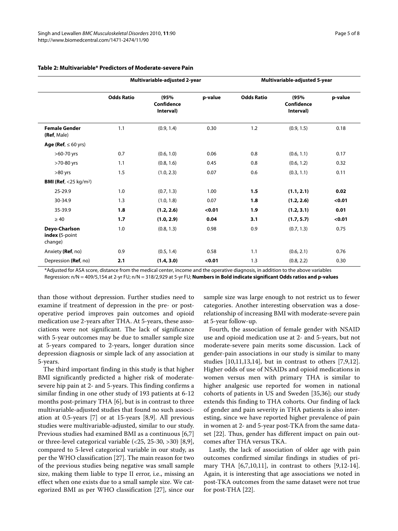|                                            | Multivariable-adjusted 2-year |                                 | Multivariable-adjusted 5-year |                   |                                 |         |
|--------------------------------------------|-------------------------------|---------------------------------|-------------------------------|-------------------|---------------------------------|---------|
|                                            | <b>Odds Ratio</b>             | (95%<br>Confidence<br>Interval) | p-value                       | <b>Odds Ratio</b> | (95%<br>Confidence<br>Interval) | p-value |
| <b>Female Gender</b><br>(Ref, Male)        | 1.1                           | (0.9, 1.4)                      | 0.30                          | 1.2               | (0.9, 1.5)                      | 0.18    |
| Age (Ref, $\leq 60$ yrs)                   |                               |                                 |                               |                   |                                 |         |
| $>60-70$ yrs                               | 0.7                           | (0.6, 1.0)                      | 0.06                          | 0.8               | (0.6, 1.1)                      | 0.17    |
| >70-80 yrs                                 | 1.1                           | (0.8, 1.6)                      | 0.45                          | 0.8               | (0.6, 1.2)                      | 0.32    |
| $>80$ yrs                                  | 1.5                           | (1.0, 2.3)                      | 0.07                          | 0.6               | (0.3, 1.1)                      | 0.11    |
| <b>BMI (Ref, </b> <25 kg/m <sup>2</sup> )  |                               |                                 |                               |                   |                                 |         |
| 25-29.9                                    | 1.0                           | (0.7, 1.3)                      | 1.00                          | 1.5               | (1.1, 2.1)                      | 0.02    |
| 30-34.9                                    | 1.3                           | (1.0, 1.8)                      | 0.07                          | 1.8               | (1.2, 2.6)                      | < 0.01  |
| 35-39.9                                    | 1.8                           | (1.2, 2.6)                      | < 0.01                        | 1.9               | (1.2, 3.1)                      | 0.01    |
| $\geq 40$                                  | 1.7                           | (1.0, 2.9)                      | 0.04                          | 3.1               | (1.7, 5.7)                      | < 0.01  |
| Deyo-Charlson<br>index (5-point<br>change) | 1.0                           | (0.8, 1.3)                      | 0.98                          | 0.9               | (0.7, 1.3)                      | 0.75    |
| Anxiety (Ref, no)                          | 0.9                           | (0.5, 1.4)                      | 0.58                          | 1.1               | (0.6, 2.1)                      | 0.76    |
| Depression (Ref, no)                       | 2.1                           | (1.4, 3.0)                      | < 0.01                        | 1.3               | (0.8, 2.2)                      | 0.30    |

# **Table 2: Multivariable\* Predictors of Moderate-severe Pain**

\*Adjusted for ASA score, distance from the medical center, income and the operative diagnosis, in addition to the above variables

Regression: n/N = 409/5,154 at 2-yr FU; n/N = 318/2,929 at 5-yr FU; **Numbers in Bold indicate significant Odds ratios and p-values**

than those without depression. Further studies need to examine if treatment of depression in the pre- or postoperative period improves pain outcomes and opioid medication use 2-years after THA. At 5-years, these associations were not significant. The lack of significance with 5-year outcomes may be due to smaller sample size at 5-years compared to 2-years, longer duration since depression diagnosis or simple lack of any association at 5-years.

The third important finding in this study is that higher BMI significantly predicted a higher risk of moderatesevere hip pain at 2- and 5-years. This finding confirms a similar finding in one other study of 193 patients at 6-12 months post-primary THA [[6\]](#page-6-5), but is in contrast to three multivariable-adjusted studies that found no such association at 0.5-years [[7\]](#page-6-6) or at 15-years [\[8](#page-6-8)[,9](#page-6-7)]. All previous studies were multivariable-adjusted, similar to our study. Previous studies had examined BMI as a continuous [\[6](#page-6-5)[,7](#page-6-6)] or three-level categorical variable (<25, 25-30, >30) [[8,](#page-6-8)[9](#page-6-7)], compared to 5-level categorical variable in our study, as per the WHO classification [\[27](#page-7-15)]. The main reason for two of the previous studies being negative was small sample size, making them liable to type II error, i.e., missing an effect when one exists due to a small sample size. We categorized BMI as per WHO classification [[27](#page-7-15)], since our sample size was large enough to not restrict us to fewer categories. Another interesting observation was a doserelationship of increasing BMI with moderate-severe pain at 5-year follow-up.

Fourth, the association of female gender with NSAID use and opioid medication use at 2- and 5-years, but not moderate-severe pain merits some discussion. Lack of gender-pain associations in our study is similar to many studies [\[10](#page-7-2),[11](#page-7-0),[13,](#page-7-3)[14\]](#page-7-4), but in contrast to others [[7,](#page-6-6)[9](#page-6-7)[,12](#page-7-1)]. Higher odds of use of NSAIDs and opioid medications in women versus men with primary THA is similar to higher analgesic use reported for women in national cohorts of patients in US and Sweden [[35,](#page-7-23)[36\]](#page-7-24); our study extends this finding to THA cohorts. Our finding of lack of gender and pain severity in THA patients is also interesting, since we have reported higher prevalence of pain in women at 2- and 5-year post-TKA from the same dataset [[22\]](#page-7-12). Thus, gender has different impact on pain outcomes after THA versus TKA.

Lastly, the lack of association of older age with pain outcomes confirmed similar findings in studies of primary THA [[6](#page-6-5),[7,](#page-6-6)[10,](#page-7-2)[11\]](#page-7-0), in contrast to others [[9,](#page-6-7)[12-](#page-7-1)[14](#page-7-4)]. Again, it is interesting that age associations we noted in post-TKA outcomes from the same dataset were not true for post-THA [\[22\]](#page-7-12).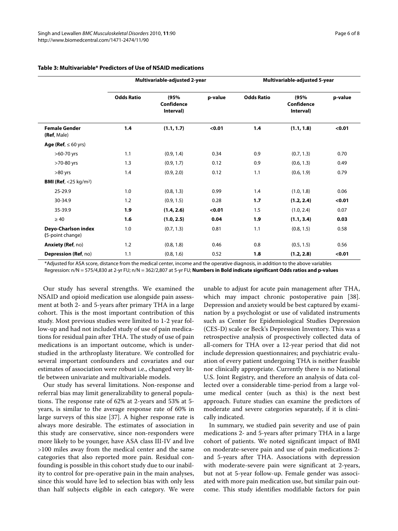|                                           | Multivariable-adjusted 2-year |                                        | Multivariable-adjusted 5-year |                   |                                 |         |
|-------------------------------------------|-------------------------------|----------------------------------------|-------------------------------|-------------------|---------------------------------|---------|
|                                           | <b>Odds Ratio</b>             | (95%<br><b>Confidence</b><br>Interval) | p-value                       | <b>Odds Ratio</b> | (95%<br>Confidence<br>Interval) | p-value |
| <b>Female Gender</b><br>(Ref, Male)       | 1.4                           | (1.1, 1.7)                             | < 0.01                        | 1.4               | (1.1, 1.8)                      | < 0.01  |
| Age (Ref, $\leq 60$ yrs)                  |                               |                                        |                               |                   |                                 |         |
| >60-70 yrs                                | 1.1                           | (0.9, 1.4)                             | 0.34                          | 0.9               | (0.7, 1.3)                      | 0.70    |
| >70-80 yrs                                | 1.3                           | (0.9, 1.7)                             | 0.12                          | 0.9               | (0.6, 1.3)                      | 0.49    |
| $>80$ yrs                                 | 1.4                           | (0.9, 2.0)                             | 0.12                          | 1.1               | (0.6, 1.9)                      | 0.79    |
| <b>BMI (Ref, </b> <25 kg/m <sup>2</sup> ) |                               |                                        |                               |                   |                                 |         |
| 25-29.9                                   | 1.0                           | (0.8, 1.3)                             | 0.99                          | 1.4               | (1.0, 1.8)                      | 0.06    |
| 30-34.9                                   | 1.2                           | (0.9, 1.5)                             | 0.28                          | 1.7               | (1.2, 2.4)                      | < 0.01  |
| 35-39.9                                   | 1.9                           | (1.4, 2.6)                             | < 0.01                        | 1.5               | (1.0, 2.4)                      | 0.07    |
| $\geq 40$                                 | 1.6                           | (1.0, 2.5)                             | 0.04                          | 1.9               | (1.1, 3.4)                      | 0.03    |
| Deyo-Charlson index<br>(5-point change)   | 1.0                           | (0.7, 1.3)                             | 0.81                          | 1.1               | (0.8, 1.5)                      | 0.58    |
| <b>Anxiety (Ref, no)</b>                  | 1.2                           | (0.8, 1.8)                             | 0.46                          | 0.8               | (0.5, 1.5)                      | 0.56    |
| <b>Depression (Ref, no)</b>               | 1.1                           | (0.8, 1.6)                             | 0.52                          | 1.8               | (1.2, 2.8)                      | < 0.01  |

# **Table 3: Multivariable\* Predictors of Use of NSAID medications**

\*Adjusted for ASA score, distance from the medical center, income and the operative diagnosis, in addition to the above variables Regression: n/N = 575/4,830 at 2-yr FU; n/N = 362/2,807 at 5-yr FU; **Numbers in Bold indicate significant Odds ratios and p-values**

Our study has several strengths. We examined the NSAID and opioid medication use alongside pain assessment at both 2- and 5-years after primary THA in a large cohort. This is the most important contribution of this study. Most previous studies were limited to 1-2 year follow-up and had not included study of use of pain medications for residual pain after THA. The study of use of pain medications is an important outcome, which is understudied in the arthroplasty literature. We controlled for several important confounders and covariates and our estimates of association were robust i.e., changed very little between univariate and multivariable models.

Our study has several limitations. Non-response and referral bias may limit generalizability to general populations. The response rate of 62% at 2-years and 53% at 5 years, is similar to the average response rate of 60% in large surveys of this size [\[37\]](#page-7-25). A higher response rate is always more desirable. The estimates of association in this study are conservative, since non-responders were more likely to be younger, have ASA class III-IV and live >100 miles away from the medical center and the same categories that also reported more pain. Residual confounding is possible in this cohort study due to our inability to control for pre-operative pain in the main analyses, since this would have led to selection bias with only less than half subjects eligible in each category. We were

unable to adjust for acute pain management after THA, which may impact chronic postoperative pain [\[38](#page-7-26)]. Depression and anxiety would be best captured by examination by a psychologist or use of validated instruments such as Center for Epidemiological Studies Depression (CES-D) scale or Beck's Depression Inventory. This was a retrospective analysis of prospectively collected data of all-comers for THA over a 12-year period that did not include depression questionnaires; and psychiatric evaluation of every patient undergoing THA is neither feasible nor clinically appropriate. Currently there is no National U.S. Joint Registry, and therefore an analysis of data collected over a considerable time-period from a large volume medical center (such as this) is the next best approach. Future studies can examine the predictors of moderate and severe categories separately, if it is clinically indicated.

In summary, we studied pain severity and use of pain medications 2- and 5-years after primary THA in a large cohort of patients. We noted significant impact of BMI on moderate-severe pain and use of pain medications 2 and 5-years after THA. Associations with depression with moderate-severe pain were significant at 2-years, but not at 5-year follow-up. Female gender was associated with more pain medication use, but similar pain outcome. This study identifies modifiable factors for pain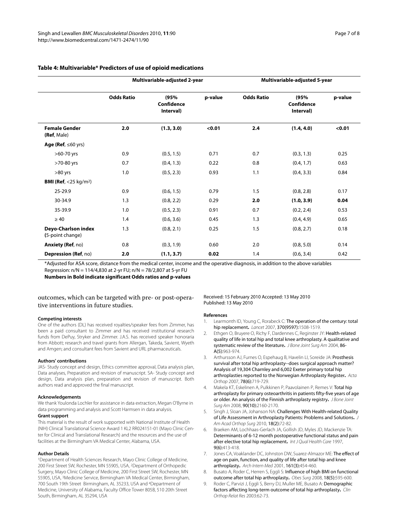| Multivariable-adjusted 2-year |                                 |         | Multivariable-adjusted 5-year |                                 |         |
|-------------------------------|---------------------------------|---------|-------------------------------|---------------------------------|---------|
| <b>Ratio</b>                  | (95%<br>Confidence<br>Interval) | p-value | <b>Odds Ratio</b>             | (95%<br>Confidence<br>Interval) | p-value |
| 2.0                           | (1.3, 3.0)                      | < 0.01  | 2.4                           | (1.4, 4.0)                      | < 0.01  |

# **Table 4: Multivariable\* Predictors**

**Odds Ratio (95%** 

\*Adjusted for ASA score, distance from the medical center, income and the operative diagnosis, in addition to the above variables Regression: n/N = 114/4,830 at 2-yr FU; n/N = 78/2,807 at 5-yr FU

**Anxiety (Ref**, no) 0.8 (0.3, 1.9) 0.60 2.0 (0.8, 5.0) 0.14 **Depression (Ref**, no) **2.0 (1.1, 3.7) 0.02** 1.4 (0.6, 3.4) 0.42

>60-70 yrs 0.9 (0.5, 1.5) 0.71 0.7 (0.3, 1.3) 0.25 >70-80 yrs 0.7 (0.4, 1.3) 0.22 0.8 (0.4, 1.7) 0.63 >80 yrs 1.0 (0.5, 2.3) 0.93 1.1 (0.4, 3.3) 0.84

25-29.9 0.9 (0.6, 1.5) 0.79 1.5 (0.8, 2.8) 0.17 30-34.9 1.3 (0.8, 2.2) 0.29 **2.0 (1.0, 3.9) 0.04** 35-39.9 1.0 (0.5, 2.3) 0.91 0.7 (0.2, 2.4) 0.53  $≥ 40$  1.4 (0.6, 3.6) 0.45 1.3 (0.4, 4.9) 0.65

**Numbers in Bold indicate significant Odds ratios and p-values**

# outcomes, which can be targeted with pre- or post-operative interventions in future studies.

## **Competing interests**

**Female Gender (Ref**, Male)

**Age (Ref**, ≤60 yrs)

**BMI (Ref**, <25 kg/m2)

**Deyo-Charlson index (**5-point change)

One of the authors (DL) has received royalties/speaker fees from Zimmer, has been a paid consultant to Zimmer and has received institutional research funds from DePuy, Stryker and Zimmer. J.A.S. has received speaker honoraria from Abbott; research and travel grants from Allergan, Takeda, Savient, Wyeth and Amgen; and consultant fees from Savient and URL pharmaceuticals.

#### **Authors' contributions**

JAS- Study concept and design, Ethics committee approval, Data analysis plan, Data analyses, Preparation and revision of manuscript. SA- Study concept and design, Data analysis plan, preparation and revision of manuscript. Both authors read and approved the final manuscript.

#### **Acknowledgements**

We thank Youlonda Lochler for assistance in data extraction, Megan O'Byrne in data programming and analysis and Scott Harmsen in data analysis.

## **Grant support**

This material is the result of work supported with National Institute of Health (NIH) Clinical Translational Science Award 1 KL2 RR024151-01 (Mayo Clinic Center for Clinical and Translational Research) and the resources and the use of facilities at the Birmingham VA Medical Center, Alabama, USA.

#### **Author Details**

1Department of Health Sciences Research, Mayo Clinic College of Medicine, 200 First Street SW, Rochester, MN 55905, USA, 2Department of Orthopedic Surgery, Mayo Clinic College of Medicine, 200 First Street SW, Rochester, MN 55905, USA, 3Medicine Service, Birmingham VA Medical Center, Birmingham, 700 South 19th Street Birmingham, AL 35233, USA and 4Department of Medicine, University of Alabama, Faculty Office Tower 805B, 510 20th Street South, Birmingham, AL 35294, USA

## Received: 15 February 2010 Accepted: 13 May 2010 Published: 13 May 2010

1.3 (0.8, 2.1) 0.25 1.5 (0.8, 2.7) 0.18

### **References**

- <span id="page-6-0"></span>Learmonth ID, Young C, Rorabeck C: The operation of the century: total hip replacement**.** Lancet 2007, 370(9597):1508-1519.
- <span id="page-6-1"></span>2. Ethgen O, Bruyere O, Richy F, Dardennes C, Reginster JY: Health-related quality of life in total hip and total knee arthroplasty. A qualitative and systematic review of the literature**.** J Bone Joint Surg Am 2004, 86- A(5):963-974.
- <span id="page-6-2"></span>Arthursson AJ, Furnes O, Espehaug B, Havelin LI, Soreide JA: Prosthesis survival after total hip arthroplasty--does surgical approach matter? Analysis of 19,304 Charnley and 6,002 Exeter primary total hip arthroplasties reported to the Norwegian Arthroplasty Register**.** Acta Orthop 2007, 78(6):719-729.
- <span id="page-6-3"></span>Makela KT, Eskelinen A, Pulkkinen P, Paavolainen P, Remes V: Total hip arthroplasty for primary osteoarthritis in patients fifty-five years of age or older. An analysis of the Finnish arthroplasty registry**.** J Bone Joint Surg Am 2008, 90(10):2160-2170.
- <span id="page-6-4"></span>5. Singh J, Sloan JA, Johanson NA: Challenges With Health-related Quality of Life Assessment in Arthroplasty Patients: Problems and Solutions**.** J Am Acad Orthop Surg 2010, 18(2):72-82.
- <span id="page-6-5"></span>6. Braeken AM, Lochhaas-Gerlach JA, Gollish JD, Myles JD, Mackenzie TA: Determinants of 6-12 month postoperative functional status and pain after elective total hip replacement**.** Int J Qual Health Care 1997, 9(6):413-418.
- <span id="page-6-6"></span>7. Jones CA, Voaklander DC, Johnston DW, Suarez-Almazor MF: The effect of age on pain, function, and quality of life after total hip and knee arthroplasty**.** Arch Intern Med 2001, 161(3):454-460.
- <span id="page-6-8"></span>8. Busato A, Roder C, Herren S, Eggli S: Influence of high BMI on functional outcome after total hip arthroplasty**[.](http://www.ncbi.nlm.nih.gov/entrez/query.fcgi?cmd=Retrieve&db=PubMed&dopt=Abstract&list_uids=18369684)** Obes Surg 2008, 18(5):595-600.
- <span id="page-6-7"></span>9. Roder C, Parvizi J, Eggli S, Berry DJ, Muller ME, Busato A: Demographic factors affecting long-term outcome of total hip arthroplasty. Clin Orthop Relat Res 2003:62-73.